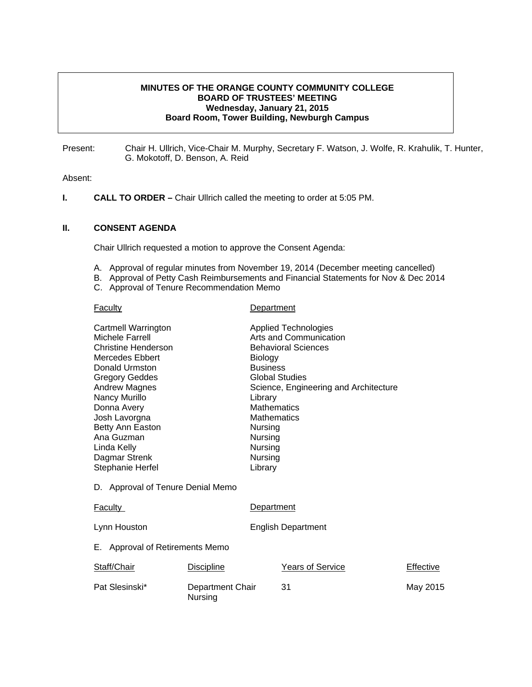## **MINUTES OF THE ORANGE COUNTY COMMUNITY COLLEGE BOARD OF TRUSTEES' MEETING Wednesday, January 21, 2015 Board Room, Tower Building, Newburgh Campus**

Present: Chair H. Ullrich, Vice-Chair M. Murphy, Secretary F. Watson, J. Wolfe, R. Krahulik, T. Hunter, G. Mokotoff, D. Benson, A. Reid

#### Absent:

**I.** CALL TO ORDER – Chair Ullrich called the meeting to order at 5:05 PM.

#### **II. CONSENT AGENDA**

Chair Ullrich requested a motion to approve the Consent Agenda:

- A. Approval of regular minutes from November 19, 2014 (December meeting cancelled)
- B. Approval of Petty Cash Reimbursements and Financial Statements for Nov & Dec 2014
- C. Approval of Tenure Recommendation Memo

#### Faculty **Department**

| <b>Cartmell Warrington</b>        |                  |                           | <b>Applied Technologies</b>           |           |
|-----------------------------------|------------------|---------------------------|---------------------------------------|-----------|
| Michele Farrell                   |                  |                           | Arts and Communication                |           |
| Christine Henderson               |                  |                           | <b>Behavioral Sciences</b>            |           |
| Mercedes Ebbert                   |                  | Biology                   |                                       |           |
| Donald Urmston                    |                  | <b>Business</b>           |                                       |           |
| <b>Gregory Geddes</b>             |                  |                           | <b>Global Studies</b>                 |           |
| <b>Andrew Magnes</b>              |                  |                           | Science, Engineering and Architecture |           |
| Nancy Murillo                     |                  | Library                   |                                       |           |
| Donna Avery                       |                  | <b>Mathematics</b>        |                                       |           |
| Josh Lavorgna                     |                  | <b>Mathematics</b>        |                                       |           |
| Betty Ann Easton                  |                  | Nursing                   |                                       |           |
| Ana Guzman                        |                  | Nursing                   |                                       |           |
| Linda Kelly                       |                  | Nursing                   |                                       |           |
| Dagmar Strenk                     |                  | Nursing                   |                                       |           |
| Stephanie Herfel                  |                  | Library                   |                                       |           |
| D. Approval of Tenure Denial Memo |                  |                           |                                       |           |
| <b>Faculty</b>                    |                  | Department                |                                       |           |
| Lynn Houston                      |                  | <b>English Department</b> |                                       |           |
| E. Approval of Retirements Memo   |                  |                           |                                       |           |
| Staff/Chair                       | Discipline       |                           | <b>Years of Service</b>               | Effective |
| Pat Slesinski*                    | Department Chair |                           | 31                                    | May 2015  |

Nursing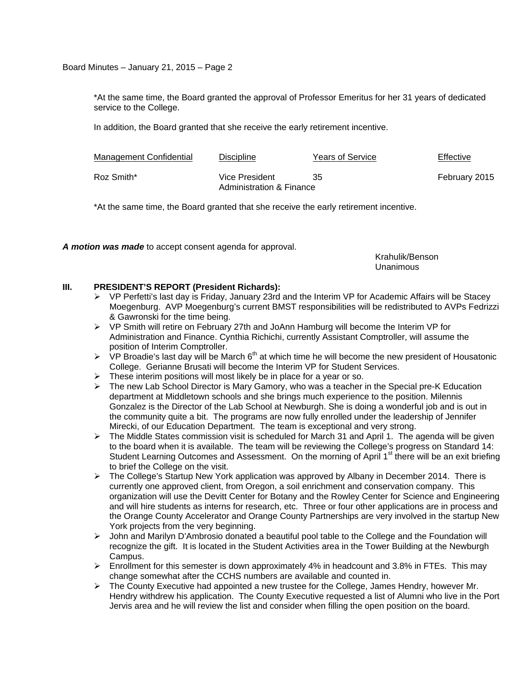Board Minutes – January 21, 2015 – Page 2

\*At the same time, the Board granted the approval of Professor Emeritus for her 31 years of dedicated service to the College.

In addition, the Board granted that she receive the early retirement incentive.

| Management Confidential | <b>Discipline</b>                          | <b>Years of Service</b> | Effective     |
|-------------------------|--------------------------------------------|-------------------------|---------------|
| Roz Smith*              | Vice President<br>Administration & Finance | 35                      | February 2015 |

\*At the same time, the Board granted that she receive the early retirement incentive.

*A motion was made* to accept consent agenda for approval.

 Krahulik/Benson Unanimous

# **III. PRESIDENT'S REPORT (President Richards):**

- $\triangleright$  VP Perfetti's last day is Friday, January 23rd and the Interim VP for Academic Affairs will be Stacey Moegenburg. AVP Moegenburg's current BMST responsibilities will be redistributed to AVPs Fedrizzi & Gawronski for the time being.
- $\triangleright$  VP Smith will retire on February 27th and JoAnn Hamburg will become the Interim VP for Administration and Finance. Cynthia Richichi, currently Assistant Comptroller, will assume the position of Interim Comptroller.
- $\triangleright$  VP Broadie's last day will be March 6<sup>th</sup> at which time he will become the new president of Housatonic College. Gerianne Brusati will become the Interim VP for Student Services.
- $\triangleright$  These interim positions will most likely be in place for a year or so.
- $\triangleright$  The new Lab School Director is Mary Gamory, who was a teacher in the Special pre-K Education department at Middletown schools and she brings much experience to the position. Milennis Gonzalez is the Director of the Lab School at Newburgh. She is doing a wonderful job and is out in the community quite a bit. The programs are now fully enrolled under the leadership of Jennifer Mirecki, of our Education Department. The team is exceptional and very strong.
- $\triangleright$  The Middle States commission visit is scheduled for March 31 and April 1. The agenda will be given to the board when it is available. The team will be reviewing the College's progress on Standard 14: Student Learning Outcomes and Assessment. On the morning of April 1<sup>st</sup> there will be an exit briefing to brief the College on the visit.
- ¾ The College's Startup New York application was approved by Albany in December 2014. There is currently one approved client, from Oregon, a soil enrichment and conservation company. This organization will use the Devitt Center for Botany and the Rowley Center for Science and Engineering and will hire students as interns for research, etc. Three or four other applications are in process and the Orange County Accelerator and Orange County Partnerships are very involved in the startup New York projects from the very beginning.
- $\triangleright$  John and Marilyn D'Ambrosio donated a beautiful pool table to the College and the Foundation will recognize the gift. It is located in the Student Activities area in the Tower Building at the Newburgh Campus.
- ¾ Enrollment for this semester is down approximately 4% in headcount and 3.8% in FTEs. This may change somewhat after the CCHS numbers are available and counted in.
- ¾ The County Executive had appointed a new trustee for the College, James Hendry, however Mr. Hendry withdrew his application. The County Executive requested a list of Alumni who live in the Port Jervis area and he will review the list and consider when filling the open position on the board.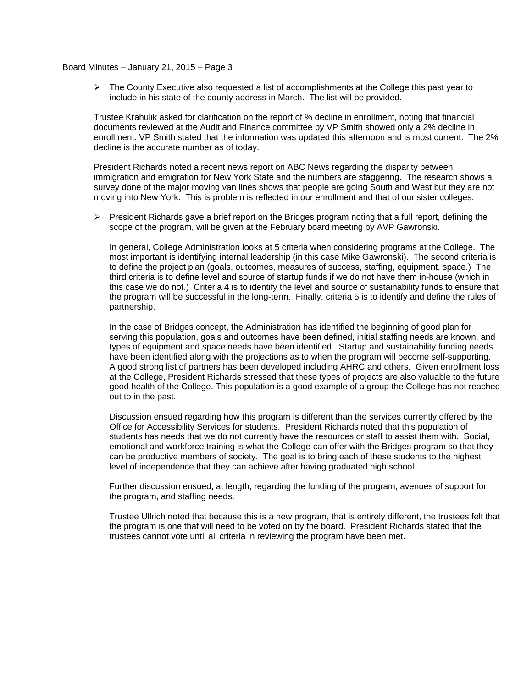#### Board Minutes – January 21, 2015 – Page 3

 $\triangleright$  The County Executive also requested a list of accomplishments at the College this past year to include in his state of the county address in March. The list will be provided.

Trustee Krahulik asked for clarification on the report of % decline in enrollment, noting that financial documents reviewed at the Audit and Finance committee by VP Smith showed only a 2% decline in enrollment. VP Smith stated that the information was updated this afternoon and is most current. The 2% decline is the accurate number as of today.

President Richards noted a recent news report on ABC News regarding the disparity between immigration and emigration for New York State and the numbers are staggering. The research shows a survey done of the major moving van lines shows that people are going South and West but they are not moving into New York. This is problem is reflected in our enrollment and that of our sister colleges.

 $\triangleright$  President Richards gave a brief report on the Bridges program noting that a full report, defining the scope of the program, will be given at the February board meeting by AVP Gawronski.

In general, College Administration looks at 5 criteria when considering programs at the College. The most important is identifying internal leadership (in this case Mike Gawronski). The second criteria is to define the project plan (goals, outcomes, measures of success, staffing, equipment, space.) The third criteria is to define level and source of startup funds if we do not have them in-house (which in this case we do not.) Criteria 4 is to identify the level and source of sustainability funds to ensure that the program will be successful in the long-term. Finally, criteria 5 is to identify and define the rules of partnership.

In the case of Bridges concept, the Administration has identified the beginning of good plan for serving this population, goals and outcomes have been defined, initial staffing needs are known, and types of equipment and space needs have been identified. Startup and sustainability funding needs have been identified along with the projections as to when the program will become self-supporting. A good strong list of partners has been developed including AHRC and others. Given enrollment loss at the College, President Richards stressed that these types of projects are also valuable to the future good health of the College. This population is a good example of a group the College has not reached out to in the past.

Discussion ensued regarding how this program is different than the services currently offered by the Office for Accessibility Services for students. President Richards noted that this population of students has needs that we do not currently have the resources or staff to assist them with. Social, emotional and workforce training is what the College can offer with the Bridges program so that they can be productive members of society. The goal is to bring each of these students to the highest level of independence that they can achieve after having graduated high school.

Further discussion ensued, at length, regarding the funding of the program, avenues of support for the program, and staffing needs.

Trustee Ullrich noted that because this is a new program, that is entirely different, the trustees felt that the program is one that will need to be voted on by the board. President Richards stated that the trustees cannot vote until all criteria in reviewing the program have been met.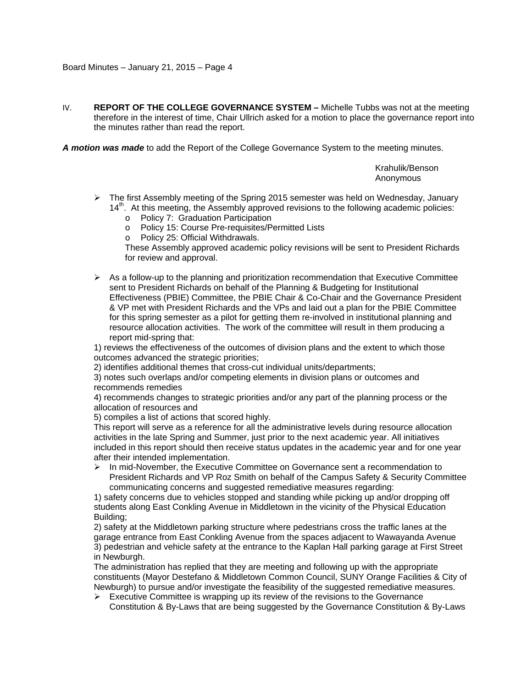IV. **REPORT OF THE COLLEGE GOVERNANCE SYSTEM –** Michelle Tubbs was not at the meeting therefore in the interest of time, Chair Ullrich asked for a motion to place the governance report into the minutes rather than read the report.

*A motion was made* to add the Report of the College Governance System to the meeting minutes.

 Krahulik/Benson Anonymous

- $\triangleright$  The first Assembly meeting of the Spring 2015 semester was held on Wednesday, January  $14<sup>th</sup>$ . At this meeting, the Assembly approved revisions to the following academic policies:
	- o Policy 7: Graduation Participation
	- o Policy 15: Course Pre-requisites/Permitted Lists
	- o Policy 25: Official Withdrawals.

These Assembly approved academic policy revisions will be sent to President Richards for review and approval.

 $\triangleright$  As a follow-up to the planning and prioritization recommendation that Executive Committee sent to President Richards on behalf of the Planning & Budgeting for Institutional Effectiveness (PBIE) Committee, the PBIE Chair & Co-Chair and the Governance President & VP met with President Richards and the VPs and laid out a plan for the PBIE Committee for this spring semester as a pilot for getting them re-involved in institutional planning and resource allocation activities. The work of the committee will result in them producing a report mid-spring that:

1) reviews the effectiveness of the outcomes of division plans and the extent to which those outcomes advanced the strategic priorities;

2) identifies additional themes that cross-cut individual units/departments;

3) notes such overlaps and/or competing elements in division plans or outcomes and recommends remedies

4) recommends changes to strategic priorities and/or any part of the planning process or the allocation of resources and

5) compiles a list of actions that scored highly.

This report will serve as a reference for all the administrative levels during resource allocation activities in the late Spring and Summer, just prior to the next academic year. All initiatives included in this report should then receive status updates in the academic year and for one year after their intended implementation.

 $\triangleright$  In mid-November, the Executive Committee on Governance sent a recommendation to President Richards and VP Roz Smith on behalf of the Campus Safety & Security Committee communicating concerns and suggested remediative measures regarding:

1) safety concerns due to vehicles stopped and standing while picking up and/or dropping off students along East Conkling Avenue in Middletown in the vicinity of the Physical Education Building;

2) safety at the Middletown parking structure where pedestrians cross the traffic lanes at the garage entrance from East Conkling Avenue from the spaces adjacent to Wawayanda Avenue 3) pedestrian and vehicle safety at the entrance to the Kaplan Hall parking garage at First Street in Newburgh.

The administration has replied that they are meeting and following up with the appropriate constituents (Mayor Destefano & Middletown Common Council, SUNY Orange Facilities & City of Newburgh) to pursue and/or investigate the feasibility of the suggested remediative measures.

 $\triangleright$  Executive Committee is wrapping up its review of the revisions to the Governance Constitution & By-Laws that are being suggested by the Governance Constitution & By-Laws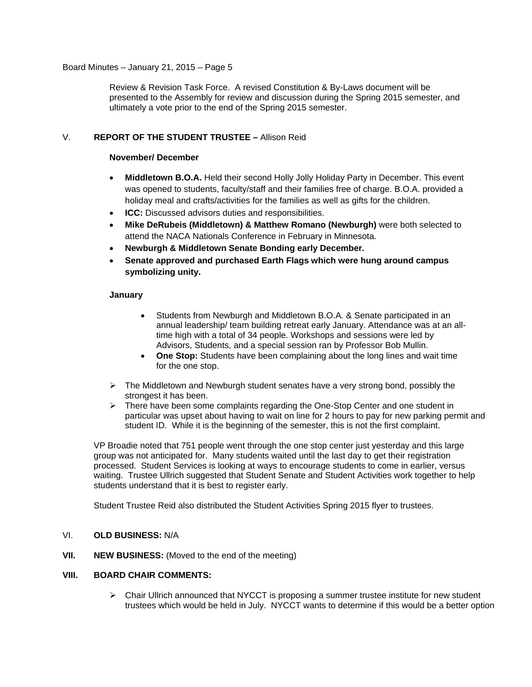## Board Minutes – January 21, 2015 – Page 5

Review & Revision Task Force. A revised Constitution & By-Laws document will be presented to the Assembly for review and discussion during the Spring 2015 semester, and ultimately a vote prior to the end of the Spring 2015 semester.

# V. **REPORT OF THE STUDENT TRUSTEE –** Allison Reid

## **November/ December**

- **Middletown B.O.A.** Held their second Holly Jolly Holiday Party in December. This event was opened to students, faculty/staff and their families free of charge. B.O.A. provided a holiday meal and crafts/activities for the families as well as gifts for the children.
- **ICC:** Discussed advisors duties and responsibilities.
- **Mike DeRubeis (Middletown) & Matthew Romano (Newburgh)** were both selected to attend the NACA Nationals Conference in February in Minnesota.
- **Newburgh & Middletown Senate Bonding early December.**
- **Senate approved and purchased Earth Flags which were hung around campus symbolizing unity.**

# **January**

- Students from Newburgh and Middletown B.O.A. & Senate participated in an annual leadership/ team building retreat early January. Attendance was at an alltime high with a total of 34 people. Workshops and sessions were led by Advisors, Students, and a special session ran by Professor Bob Mullin.
- **One Stop:** Students have been complaining about the long lines and wait time for the one stop.
- $\triangleright$  The Middletown and Newburgh student senates have a very strong bond, possibly the strongest it has been.
- ¾ There have been some complaints regarding the One-Stop Center and one student in particular was upset about having to wait on line for 2 hours to pay for new parking permit and student ID. While it is the beginning of the semester, this is not the first complaint.

VP Broadie noted that 751 people went through the one stop center just yesterday and this large group was not anticipated for. Many students waited until the last day to get their registration processed. Student Services is looking at ways to encourage students to come in earlier, versus waiting. Trustee Ullrich suggested that Student Senate and Student Activities work together to help students understand that it is best to register early.

Student Trustee Reid also distributed the Student Activities Spring 2015 flyer to trustees.

# VI. **OLD BUSINESS:** N/A

**VII. NEW BUSINESS:** (Moved to the end of the meeting)

## **VIII. BOARD CHAIR COMMENTS:**

 $\triangleright$  Chair Ullrich announced that NYCCT is proposing a summer trustee institute for new student trustees which would be held in July. NYCCT wants to determine if this would be a better option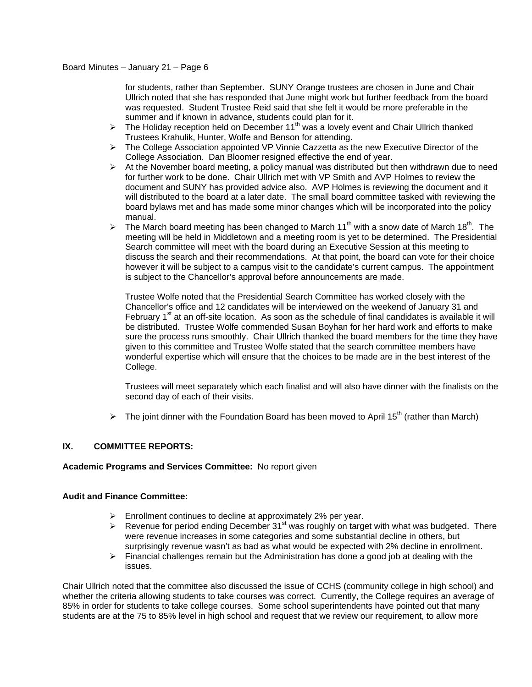for students, rather than September. SUNY Orange trustees are chosen in June and Chair Ullrich noted that she has responded that June might work but further feedback from the board was requested. Student Trustee Reid said that she felt it would be more preferable in the summer and if known in advance, students could plan for it.

- $\triangleright$  The Holiday reception held on December 11<sup>th</sup> was a lovely event and Chair Ullrich thanked Trustees Krahulik, Hunter, Wolfe and Benson for attending.
- ¾ The College Association appointed VP Vinnie Cazzetta as the new Executive Director of the College Association. Dan Bloomer resigned effective the end of year.
- $\triangleright$  At the November board meeting, a policy manual was distributed but then withdrawn due to need for further work to be done. Chair Ullrich met with VP Smith and AVP Holmes to review the document and SUNY has provided advice also. AVP Holmes is reviewing the document and it will distributed to the board at a later date. The small board committee tasked with reviewing the board bylaws met and has made some minor changes which will be incorporated into the policy manual.
- $\triangleright$  The March board meeting has been changed to March 11<sup>th</sup> with a snow date of March 18<sup>th</sup>. The meeting will be held in Middletown and a meeting room is yet to be determined. The Presidential Search committee will meet with the board during an Executive Session at this meeting to discuss the search and their recommendations. At that point, the board can vote for their choice however it will be subject to a campus visit to the candidate's current campus. The appointment is subject to the Chancellor's approval before announcements are made.

Trustee Wolfe noted that the Presidential Search Committee has worked closely with the Chancellor's office and 12 candidates will be interviewed on the weekend of January 31 and February  $1<sup>st</sup>$  at an off-site location. As soon as the schedule of final candidates is available it will be distributed. Trustee Wolfe commended Susan Boyhan for her hard work and efforts to make sure the process runs smoothly. Chair Ullrich thanked the board members for the time they have given to this committee and Trustee Wolfe stated that the search committee members have wonderful expertise which will ensure that the choices to be made are in the best interest of the College.

Trustees will meet separately which each finalist and will also have dinner with the finalists on the second day of each of their visits.

 $\triangleright$  The joint dinner with the Foundation Board has been moved to April 15<sup>th</sup> (rather than March)

# **IX. COMMITTEE REPORTS:**

## **Academic Programs and Services Committee:** No report given

## **Audit and Finance Committee:**

- $\triangleright$  Enrollment continues to decline at approximately 2% per year.
- $\triangleright$  Revenue for period ending December 31<sup>st</sup> was roughly on target with what was budgeted. There were revenue increases in some categories and some substantial decline in others, but surprisingly revenue wasn't as bad as what would be expected with 2% decline in enrollment.
- $\triangleright$  Financial challenges remain but the Administration has done a good job at dealing with the issues.

Chair Ullrich noted that the committee also discussed the issue of CCHS (community college in high school) and whether the criteria allowing students to take courses was correct. Currently, the College requires an average of 85% in order for students to take college courses. Some school superintendents have pointed out that many students are at the 75 to 85% level in high school and request that we review our requirement, to allow more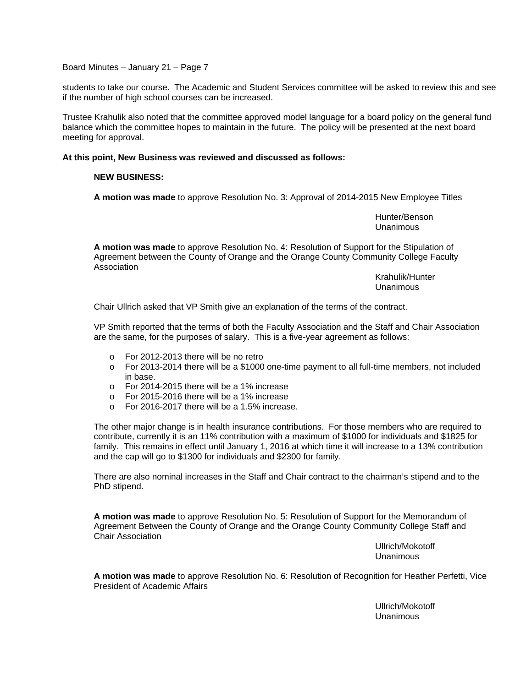Board Minutes – January 21 – Page 7

students to take our course. The Academic and Student Services committee will be asked to review this and see if the number of high school courses can be increased.

Trustee Krahulik also noted that the committee approved model language for a board policy on the general fund balance which the committee hopes to maintain in the future. The policy will be presented at the next board meeting for approval.

# **At this point, New Business was reviewed and discussed as follows:**

#### **NEW BUSINESS:**

**A motion was made** to approve Resolution No. 3: Approval of 2014-2015 New Employee Titles

 Hunter/Benson Unanimous

**A motion was made** to approve Resolution No. 4: Resolution of Support for the Stipulation of Agreement between the County of Orange and the Orange County Community College Faculty Association

> Krahulik/Hunter Unanimous

Chair Ullrich asked that VP Smith give an explanation of the terms of the contract.

VP Smith reported that the terms of both the Faculty Association and the Staff and Chair Association are the same, for the purposes of salary. This is a five-year agreement as follows:

- o For 2012-2013 there will be no retro
- o For 2013-2014 there will be a \$1000 one-time payment to all full-time members, not included in base.
- o For 2014-2015 there will be a 1% increase
- o For 2015-2016 there will be a 1% increase
- o For 2016-2017 there will be a 1.5% increase.

The other major change is in health insurance contributions. For those members who are required to contribute, currently it is an 11% contribution with a maximum of \$1000 for individuals and \$1825 for family. This remains in effect until January 1, 2016 at which time it will increase to a 13% contribution and the cap will go to \$1300 for individuals and \$2300 for family.

There are also nominal increases in the Staff and Chair contract to the chairman's stipend and to the PhD stipend.

**A motion was made** to approve Resolution No. 5: Resolution of Support for the Memorandum of Agreement Between the County of Orange and the Orange County Community College Staff and Chair Association

> Ullrich/Mokotoff Unanimous

**A motion was made** to approve Resolution No. 6: Resolution of Recognition for Heather Perfetti, Vice President of Academic Affairs

> Ullrich/Mokotoff Unanimous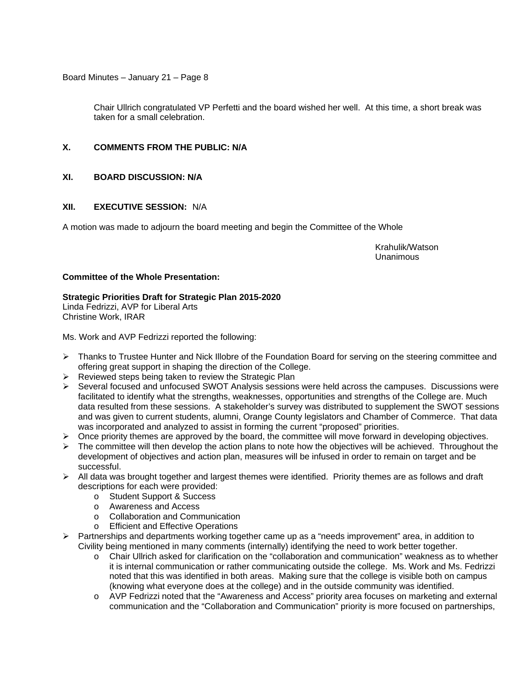Board Minutes – January 21 – Page 8

Chair Ullrich congratulated VP Perfetti and the board wished her well. At this time, a short break was taken for a small celebration.

# **X. COMMENTS FROM THE PUBLIC: N/A**

# **XI. BOARD DISCUSSION: N/A**

# **XII. EXECUTIVE SESSION:** N/A

A motion was made to adjourn the board meeting and begin the Committee of the Whole

 Krahulik/Watson Unanimous

## **Committee of the Whole Presentation:**

# **Strategic Priorities Draft for Strategic Plan 2015-2020**

Linda Fedrizzi, AVP for Liberal Arts Christine Work, IRAR

Ms. Work and AVP Fedrizzi reported the following:

- $\triangleright$  Thanks to Trustee Hunter and Nick Illobre of the Foundation Board for serving on the steering committee and offering great support in shaping the direction of the College.
- $\triangleright$  Reviewed steps being taken to review the Strategic Plan
- $\triangleright$  Several focused and unfocused SWOT Analysis sessions were held across the campuses. Discussions were facilitated to identify what the strengths, weaknesses, opportunities and strengths of the College are. Much data resulted from these sessions. A stakeholder's survey was distributed to supplement the SWOT sessions and was given to current students, alumni, Orange County legislators and Chamber of Commerce. That data was incorporated and analyzed to assist in forming the current "proposed" priorities.
- $\triangleright$  Once priority themes are approved by the board, the committee will move forward in developing objectives.
- $\triangleright$  The committee will then develop the action plans to note how the objectives will be achieved. Throughout the development of objectives and action plan, measures will be infused in order to remain on target and be successful.
- $\triangleright$  All data was brought together and largest themes were identified. Priority themes are as follows and draft descriptions for each were provided:
	- o Student Support & Success
	- o Awareness and Access
	- o Collaboration and Communication
	- o Efficient and Effective Operations
- $\triangleright$  Partnerships and departments working together came up as a "needs improvement" area, in addition to Civility being mentioned in many comments (internally) identifying the need to work better together.
	- o Chair Ullrich asked for clarification on the "collaboration and communication" weakness as to whether it is internal communication or rather communicating outside the college. Ms. Work and Ms. Fedrizzi noted that this was identified in both areas. Making sure that the college is visible both on campus (knowing what everyone does at the college) and in the outside community was identified.
	- o AVP Fedrizzi noted that the "Awareness and Access" priority area focuses on marketing and external communication and the "Collaboration and Communication" priority is more focused on partnerships,